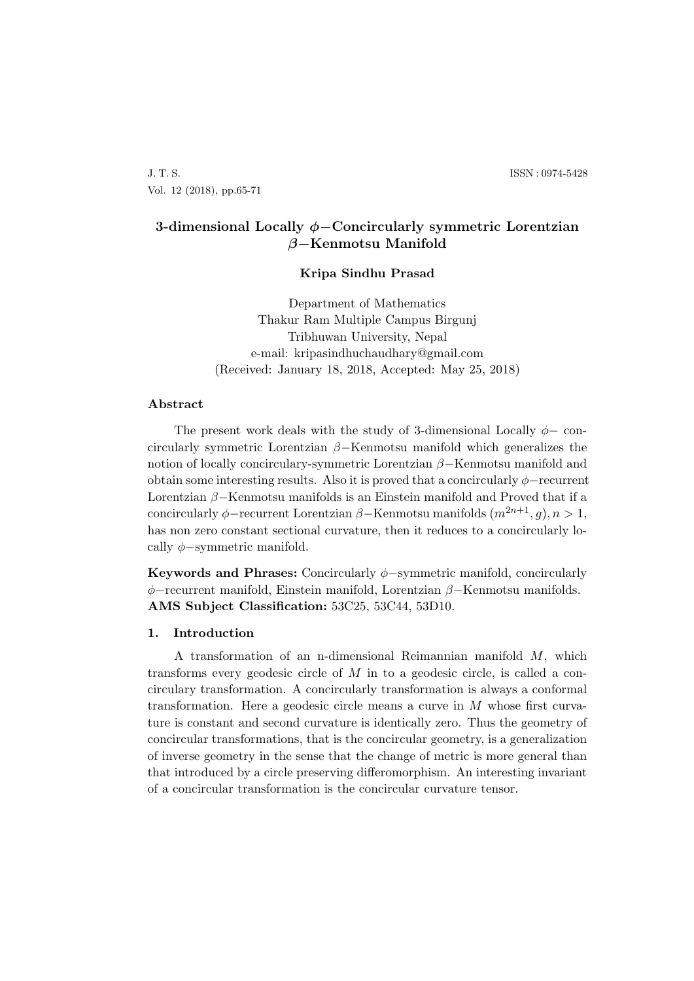J. T. S. ISSN : 0974-5428 Vol. 12 (2018), pp.65-71

# **3-dimensional Locally** *ϕ−***Concircularly symmetric Lorentzian** *β−***Kenmotsu Manifold**

## **Kripa Sindhu Prasad**

Department of Mathematics Thakur Ram Multiple Campus Birgunj Tribhuwan University, Nepal e-mail: kripasindhuchaudhary@gmail.com (Received: January 18, 2018, Accepted: May 25, 2018)

## **Abstract**

The present work deals with the study of 3-dimensional Locally *ϕ−* concircularly symmetric Lorentzian *β−*Kenmotsu manifold which generalizes the notion of locally concirculary-symmetric Lorentzian *β−*Kenmotsu manifold and obtain some interesting results. Also it is proved that a concircularly *ϕ−*recurrent Lorentzian *β−*Kenmotsu manifolds is an Einstein manifold and Proved that if a concircularly  $\phi$ -recurrent Lorentzian  $\beta$ -Kenmotsu manifolds  $(m^{2n+1}, g), n > 1$ , has non zero constant sectional curvature, then it reduces to a concircularly locally *ϕ−*symmetric manifold.

**Keywords and Phrases:** Concircularly *ϕ−*symmetric manifold, concircularly *ϕ−*recurrent manifold, Einstein manifold, Lorentzian *β−*Kenmotsu manifolds. **AMS Subject Classification:** 53C25, 53C44, 53D10.

## **1. Introduction**

A transformation of an n-dimensional Reimannian manifold *M*, which transforms every geodesic circle of *M* in to a geodesic circle, is called a concirculary transformation. A concircularly transformation is always a conformal transformation. Here a geodesic circle means a curve in *M* whose first curvature is constant and second curvature is identically zero. Thus the geometry of concircular transformations, that is the concircular geometry, is a generalization of inverse geometry in the sense that the change of metric is more general than that introduced by a circle preserving differomorphism. An interesting invariant of a concircular transformation is the concircular curvature tensor.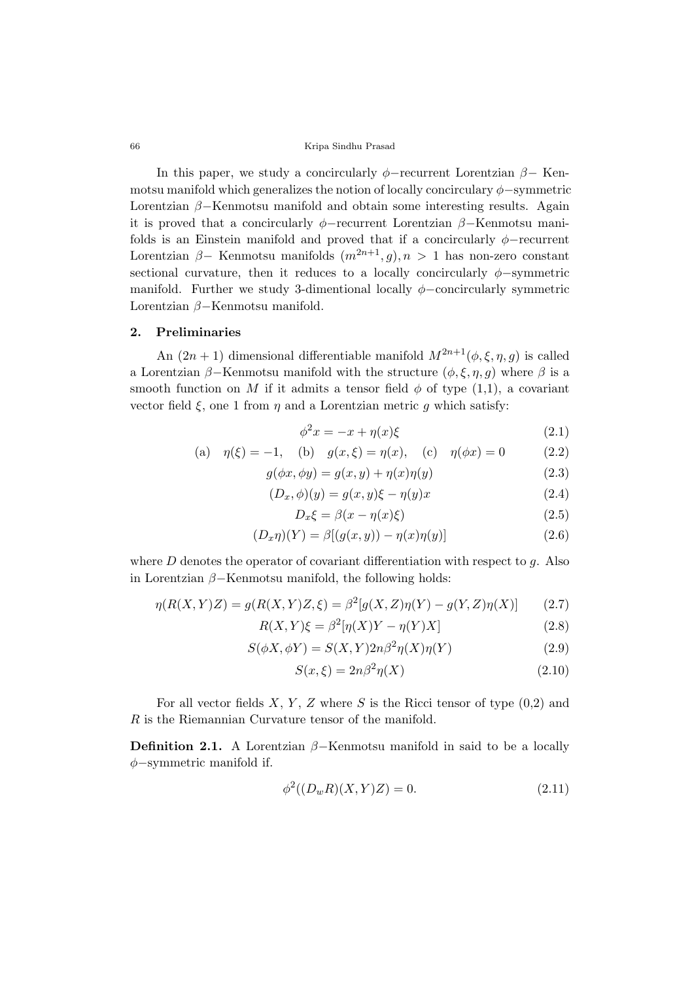66 Kripa Sindhu Prasad

In this paper, we study a concircularly *ϕ−*recurrent Lorentzian *β−* Kenmotsu manifold which generalizes the notion of locally concirculary *ϕ−*symmetric Lorentzian *β−*Kenmotsu manifold and obtain some interesting results. Again it is proved that a concircularly *ϕ−*recurrent Lorentzian *β−*Kenmotsu manifolds is an Einstein manifold and proved that if a concircularly  $\phi$ *−*recurrent Lorentzian  $\beta$ - Kenmotsu manifolds  $(m^{2n+1}, g)$ ,  $n > 1$  has non-zero constant sectional curvature, then it reduces to a locally concircularly  $\phi$ *-symmetric* manifold. Further we study 3-dimentional locally *ϕ−*concircularly symmetric Lorentzian *β−*Kenmotsu manifold.

#### **2. Preliminaries**

An  $(2n + 1)$  dimensional differentiable manifold  $M^{2n+1}(\phi, \xi, \eta, g)$  is called a Lorentzian  $\beta$ −Kenmotsu manifold with the structure  $(\phi, \xi, \eta, g)$  where  $\beta$  is a smooth function on *M* if it admits a tensor field  $\phi$  of type (1,1), a covariant vector field  $\xi$ , one 1 from  $\eta$  and a Lorentzian metric g which satisfy:

$$
\phi^2 x = -x + \eta(x)\xi \tag{2.1}
$$

(a) 
$$
\eta(\xi) = -1
$$
, (b)  $g(x,\xi) = \eta(x)$ , (c)  $\eta(\phi x) = 0$  (2.2)

$$
g(\phi x, \phi y) = g(x, y) + \eta(x)\eta(y)
$$
\n(2.3)

$$
(D_x, \phi)(y) = g(x, y)\xi - \eta(y)x\tag{2.4}
$$

$$
D_x \xi = \beta(x - \eta(x)\xi) \tag{2.5}
$$

$$
(D_x \eta)(Y) = \beta[(g(x, y)) - \eta(x)\eta(y)]
$$
\n(2.6)

where *D* denotes the operator of covariant differentiation with respect to *g*. Also in Lorentzian *β−*Kenmotsu manifold, the following holds:

$$
\eta(R(X,Y)Z) = g(R(X,Y)Z,\xi) = \beta^2[g(X,Z)\eta(Y) - g(Y,Z)\eta(X)]
$$
 (2.7)

$$
R(X,Y)\xi = \beta^2[\eta(X)Y - \eta(Y)X]
$$
\n(2.8)

$$
S(\phi X, \phi Y) = S(X, Y)2n\beta^2 \eta(X)\eta(Y)
$$
\n(2.9)

$$
S(x,\xi) = 2n\beta^2 \eta(X) \tag{2.10}
$$

For all vector fields  $X, Y, Z$  where  $S$  is the Ricci tensor of type  $(0,2)$  and *R* is the Riemannian Curvature tensor of the manifold.

**Definition 2.1.** A Lorentzian  $\beta$ −Kenmotsu manifold in said to be a locally *ϕ−*symmetric manifold if.

$$
\phi^2((D_w R)(X, Y)Z) = 0.
$$
\n(2.11)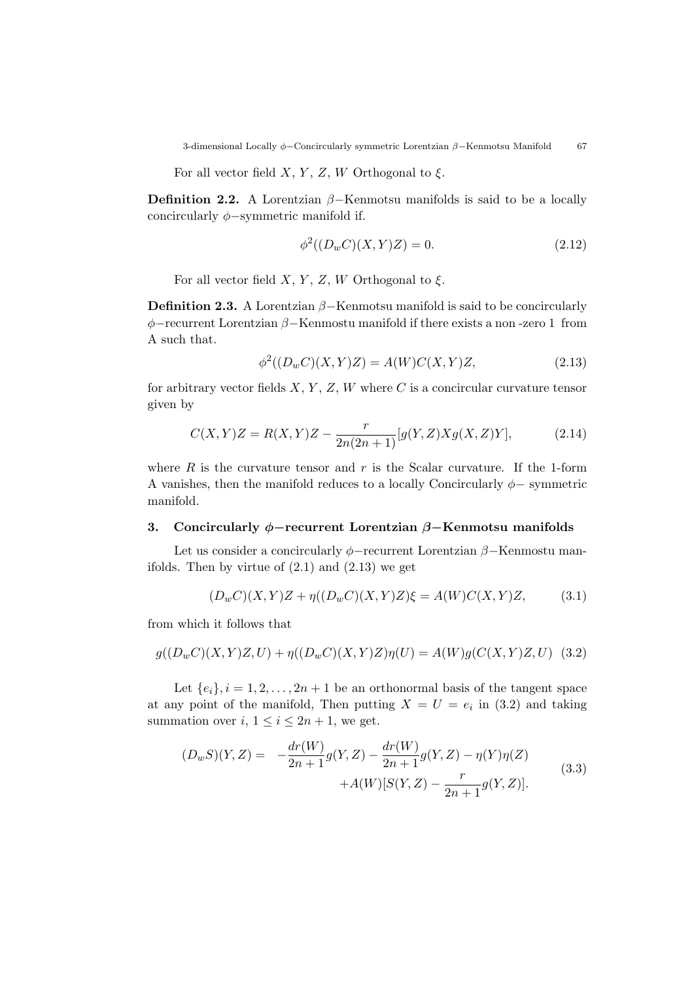For all vector field *X*, *Y*, *Z*, *W* Orthogonal to  $\xi$ .

**Definition 2.2.** A Lorentzian  $\beta$ -Kenmotsu manifolds is said to be a locally concircularly *ϕ−*symmetric manifold if.

$$
\phi^2((D_w C)(X, Y)Z) = 0.
$$
\n(2.12)

For all vector field  $X, Y, Z, W$  Orthogonal to  $\xi$ .

**Definition 2.3.** A Lorentzian *β−*Kenmotsu manifold is said to be concircularly *ϕ−*recurrent Lorentzian *β−*Kenmostu manifold if there exists a non -zero 1 from A such that.

$$
\phi^{2}((D_{w}C)(X,Y)Z) = A(W)C(X,Y)Z,
$$
\n(2.13)

for arbitrary vector fields  $X, Y, Z, W$  where  $C$  is a concircular curvature tensor given by

$$
C(X,Y)Z = R(X,Y)Z - \frac{r}{2n(2n+1)}[g(Y,Z)Xg(X,Z)Y],
$$
\n(2.14)

where  $R$  is the curvature tensor and  $r$  is the Scalar curvature. If the 1-form A vanishes, then the manifold reduces to a locally Concircularly *ϕ−* symmetric manifold.

## **3. Concircularly** *ϕ−***recurrent Lorentzian** *β−***Kenmotsu manifolds**

Let us consider a concircularly *ϕ−*recurrent Lorentzian *β−*Kenmostu manifolds. Then by virtue of  $(2.1)$  and  $(2.13)$  we get

$$
(D_w C)(X, Y)Z + \eta((D_w C)(X, Y)Z)\xi = A(W)C(X, Y)Z,
$$
(3.1)

from which it follows that

$$
g((D_w C)(X,Y)Z, U) + \eta((D_w C)(X,Y)Z)\eta(U) = A(W)g(C(X,Y)Z, U)
$$
 (3.2)

Let  ${e_i}$ ,  $i = 1, 2, ..., 2n + 1$  be an orthonormal basis of the tangent space at any point of the manifold, Then putting  $X = U = e_i$  in (3.2) and taking summation over  $i, 1 \leq i \leq 2n + 1$ , we get.

$$
(D_w S)(Y, Z) = -\frac{dr(W)}{2n+1}g(Y, Z) - \frac{dr(W)}{2n+1}g(Y, Z) - \eta(Y)\eta(Z) + A(W)[S(Y, Z) - \frac{r}{2n+1}g(Y, Z)].
$$
\n(3.3)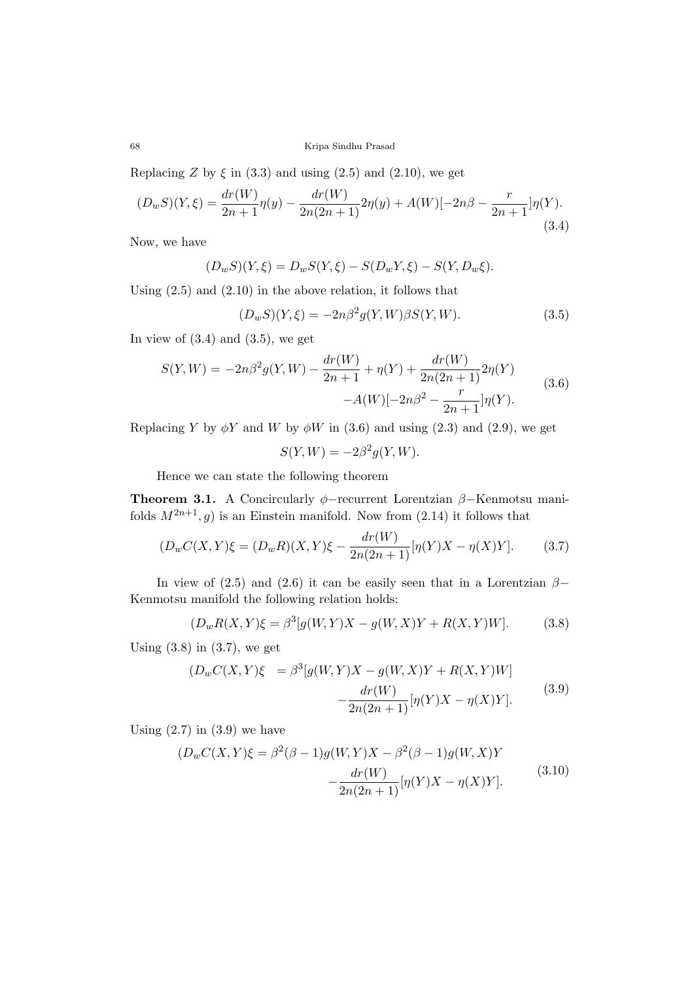68 Kripa Sindhu Prasad

Replacing *Z* by  $\xi$  in (3.3) and using (2.5) and (2.10), we get

$$
(D_w S)(Y,\xi) = \frac{dr(W)}{2n+1}\eta(y) - \frac{dr(W)}{2n(2n+1)}2\eta(y) + A(W)[-2n\beta - \frac{r}{2n+1}]\eta(Y). \tag{3.4}
$$

Now, we have

$$
(D_w S)(Y, \xi) = D_w S(Y, \xi) - S(D_w Y, \xi) - S(Y, D_w \xi).
$$

Using (2.5) and (2.10) in the above relation, it follows that

$$
(D_w S)(Y,\xi) = -2n\beta^2 g(Y,W)\beta S(Y,W). \tag{3.5}
$$

In view of  $(3.4)$  and  $(3.5)$ , we get

$$
S(Y,W) = -2n\beta^2 g(Y,W) - \frac{dr(W)}{2n+1} + \eta(Y) + \frac{dr(W)}{2n(2n+1)} 2\eta(Y) -A(W)[-2n\beta^2 - \frac{r}{2n+1}]\eta(Y).
$$
 (3.6)

Replacing *Y* by  $\phi$ *Y* and *W* by  $\phi$ *W* in (3.6) and using (2.3) and (2.9), we get

$$
S(Y, W) = -2\beta^2 g(Y, W).
$$

Hence we can state the following theorem

**Theorem 3.1.** A Concircularly *ϕ−*recurrent Lorentzian *β−*Kenmotsu manifolds  $M^{2n+1}$ , g) is an Einstein manifold. Now from (2.14) it follows that

$$
(D_w C(X, Y))\xi = (D_w R)(X, Y)\xi - \frac{dr(W)}{2n(2n+1)}[\eta(Y)X - \eta(X)Y].
$$
 (3.7)

In view of (2.5) and (2.6) it can be easily seen that in a Lorentzian  $\beta$ *−* Kenmotsu manifold the following relation holds:

$$
(D_w R(X, Y)\xi = \beta^3[g(W, Y)X - g(W, X)Y + R(X, Y)W].
$$
 (3.8)

Using  $(3.8)$  in  $(3.7)$ , we get

$$
(D_w C(X, Y)\xi = \beta^3 [g(W, Y)X - g(W, X)Y + R(X, Y)W]
$$

$$
-\frac{dr(W)}{2n(2n+1)}[\eta(Y)X - \eta(X)Y].
$$
(3.9)

Using  $(2.7)$  in  $(3.9)$  we have

$$
(D_w C(X, Y)\xi = \beta^2(\beta - 1)g(W, Y)X - \beta^2(\beta - 1)g(W, X)Y - \frac{dr(W)}{2n(2n + 1)}[\eta(Y)X - \eta(X)Y].
$$
\n(3.10)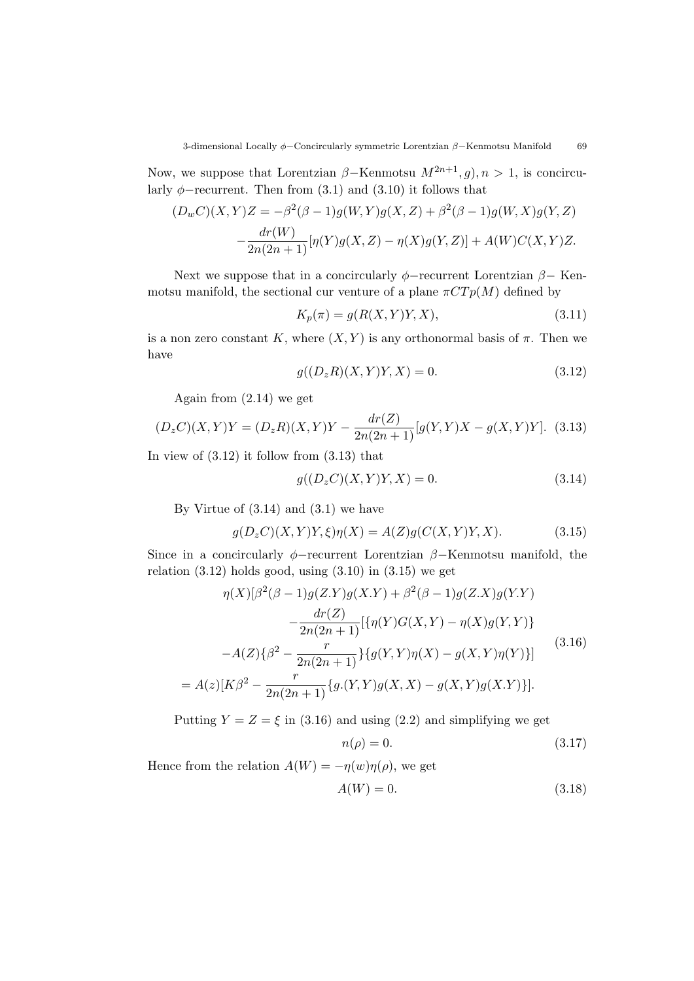Now, we suppose that Lorentzian  $\beta$ -Kenmotsu  $M^{2n+1}, g$ ,  $n > 1$ , is concircularly  $\phi$ −recurrent. Then from (3.1) and (3.10) it follows that

$$
(D_w C)(X, Y)Z = -\beta^2(\beta - 1)g(W, Y)g(X, Z) + \beta^2(\beta - 1)g(W, X)g(Y, Z) - \frac{dr(W)}{2n(2n + 1)}[\eta(Y)g(X, Z) - \eta(X)g(Y, Z)] + A(W)C(X, Y)Z.
$$

Next we suppose that in a concircularly *ϕ−*recurrent Lorentzian *β−* Kenmotsu manifold, the sectional cur venture of a plane  $\pi C T p(M)$  defined by

$$
K_p(\pi) = g(R(X, Y)Y, X),\tag{3.11}
$$

is a non zero constant *K*, where  $(X, Y)$  is any orthonormal basis of  $\pi$ . Then we have

$$
g((D_z R)(X, Y)Y, X) = 0.
$$
\n(3.12)

Again from (2.14) we get

$$
(D_z C)(X,Y)Y = (D_z R)(X,Y)Y - \frac{dr(Z)}{2n(2n+1)}[g(Y,Y)X - g(X,Y)Y].
$$
 (3.13)

In view of  $(3.12)$  it follow from  $(3.13)$  that

$$
g((D_z C)(X, Y)Y, X) = 0.
$$
\n(3.14)

By Virtue of  $(3.14)$  and  $(3.1)$  we have

$$
g(D_zC)(X,Y)Y,\xi)\eta(X) = A(Z)g(C(X,Y)Y,X). \tag{3.15}
$$

Since in a concircularly *ϕ−*recurrent Lorentzian *β−*Kenmotsu manifold, the relation  $(3.12)$  holds good, using  $(3.10)$  in  $(3.15)$  we get

$$
\eta(X)[\beta^{2}(\beta - 1)g(Z.Y)g(X.Y) + \beta^{2}(\beta - 1)g(Z.X)g(Y.Y)\n- \frac{dr(Z)}{2n(2n+1)}[\{\eta(Y)G(X,Y) - \eta(X)g(Y,Y)\}]\n- A(Z)\{\beta^{2} - \frac{r}{2n(2n+1)}\} \{g(Y,Y)\eta(X) - g(X,Y)\eta(Y)\}]
$$
\n(3.16)  
\n= A(z)[K\beta^{2} - \frac{r}{2n(2n+1)}\{g(Y,Y)g(X,X) - g(X,Y)g(X,Y)\}].

Putting  $Y = Z = \xi$  in (3.16) and using (2.2) and simplifying we get

$$
n(\rho) = 0.\tag{3.17}
$$

Hence from the relation  $A(W) = -\eta(w)\eta(\rho)$ , we get

$$
A(W) = 0.\t\t(3.18)
$$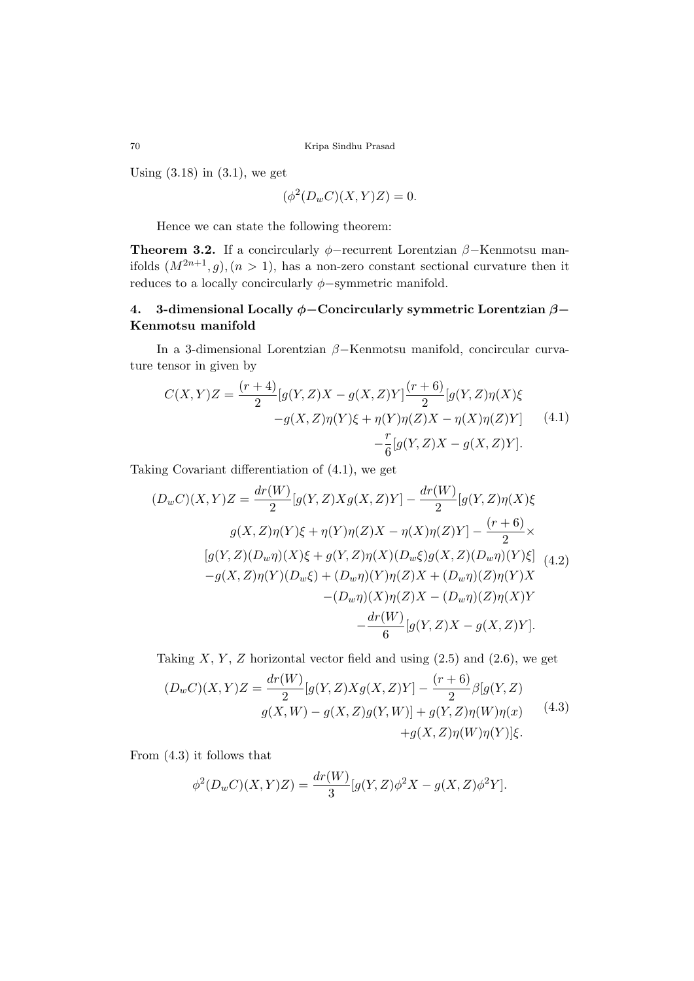Using  $(3.18)$  in  $(3.1)$ , we get

$$
(\phi^2(D_w C)(X, Y)Z) = 0.
$$

Hence we can state the following theorem:

**Theorem 3.2.** If a concircularly *ϕ−*recurrent Lorentzian *β−*Kenmotsu manifolds  $(M^{2n+1}, g)$ ,  $(n > 1)$ , has a non-zero constant sectional curvature then it reduces to a locally concircularly *ϕ−*symmetric manifold.

# **4. 3-dimensional Locally** *ϕ−***Concircularly symmetric Lorentzian** *β−* **Kenmotsu manifold**

In a 3-dimensional Lorentzian *β−*Kenmotsu manifold, concircular curvature tensor in given by

$$
C(X,Y)Z = \frac{(r+4)}{2} [g(Y,Z)X - g(X,Z)Y] \frac{(r+6)}{2} [g(Y,Z)\eta(X)\xi
$$
  

$$
-g(X,Z)\eta(Y)\xi + \eta(Y)\eta(Z)X - \eta(X)\eta(Z)Y] \qquad (4.1)
$$
  

$$
-\frac{r}{6}[g(Y,Z)X - g(X,Z)Y].
$$

Taking Covariant differentiation of (4.1), we get

$$
(D_w C)(X,Y)Z = \frac{dr(W)}{2}[g(Y,Z)Xg(X,Z)Y] - \frac{dr(W)}{2}[g(Y,Z)\eta(X)\xi
$$
  

$$
g(X,Z)\eta(Y)\xi + \eta(Y)\eta(Z)X - \eta(X)\eta(Z)Y] - \frac{(r+6)}{2}\times
$$
  

$$
[g(Y,Z)(D_w\eta)(X)\xi + g(Y,Z)\eta(X)(D_w\xi)g(X,Z)(D_w\eta)(Y)\xi] \quad (4.2)
$$
  

$$
-g(X,Z)\eta(Y)(D_w\xi) + (D_w\eta)(Y)\eta(Z)X + (D_w\eta)(Z)\eta(Y)X - (D_w\eta)(Z)\eta(X)Y - \frac{dr(W)}{6}[g(Y,Z)X - g(X,Z)Y].
$$

Taking  $X, Y, Z$  horizontal vector field and using  $(2.5)$  and  $(2.6)$ , we get

$$
(D_w C)(X, Y)Z = \frac{dr(W)}{2}[g(Y, Z)Xg(X, Z)Y] - \frac{(r+6)}{2}\beta[g(Y, Z)]
$$
  
 
$$
g(X, W) - g(X, Z)g(Y, W)] + g(Y, Z)\eta(W)\eta(x)
$$
 (4.3)  
 
$$
+g(X, Z)\eta(W)\eta(Y)]\xi.
$$

From (4.3) it follows that

$$
\phi^{2}(D_{w}C)(X,Y)Z) = \frac{dr(W)}{3}[g(Y,Z)\phi^{2}X - g(X,Z)\phi^{2}Y].
$$